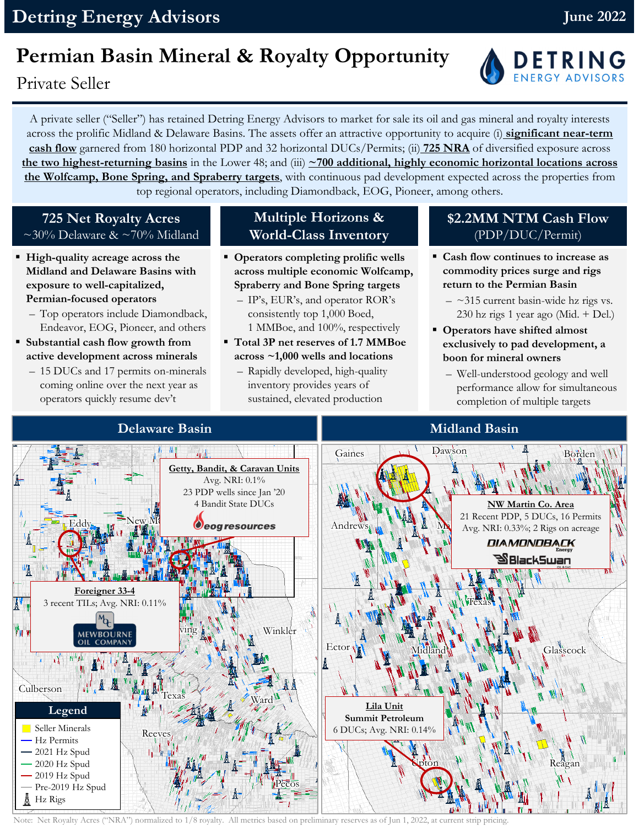## **Permian Basin Mineral & Royalty Opportunity**

Private Seller

A private seller ("Seller") has retained Detring Energy Advisors to market for sale its oil and gas mineral and royalty interests across the prolific Midland & Delaware Basins. The assets offer an attractive opportunity to acquire (i) **significant near-term cash flow** garnered from 180 horizontal PDP and 32 horizontal DUCs/Permits; (ii) **725 NRA** of diversified exposure across **the two highest-returning basins** in the Lower 48; and (iii) **~700 additional, highly economic horizontal locations across the Wolfcamp, Bone Spring, and Spraberry targets**, with continuous pad development expected across the properties from top regional operators, including Diamondback, EOG, Pioneer, among others.

#### **725 Net Royalty Acres**  $\sim$ 30% Delaware &  $\sim$ 70% Midland

- **High-quality acreage across the Midland and Delaware Basins with exposure to well-capitalized, Permian-focused operators**
	- Top operators include Diamondback, Endeavor, EOG, Pioneer, and others
- **Substantial cash flow growth from active development across minerals**
	- 15 DUCs and 17 permits on-minerals coming online over the next year as operators quickly resume dev't

### **Multiple Horizons & World-Class Inventory**

- **Operators completing prolific wells across multiple economic Wolfcamp, Spraberry and Bone Spring targets** 
	- IP's, EUR's, and operator ROR's consistently top 1,000 Boed, 1 MMBoe, and 100%, respectively
- **Total 3P net reserves of 1.7 MMBoe across ~1,000 wells and locations** 
	- Rapidly developed, high-quality inventory provides years of sustained, elevated production

#### **\$2.2MM NTM Cash Flow** (PDP/DUC/Permit)

- **Cash flow continues to increase as commodity prices surge and rigs return to the Permian Basin** 
	- $-$  ~315 current basin-wide hz rigs vs. 230 hz rigs 1 year ago (Mid. + Del.)
- **Operators have shifted almost exclusively to pad development, a boon for mineral owners** 
	- Well-understood geology and well performance allow for simultaneous completion of multiple targets